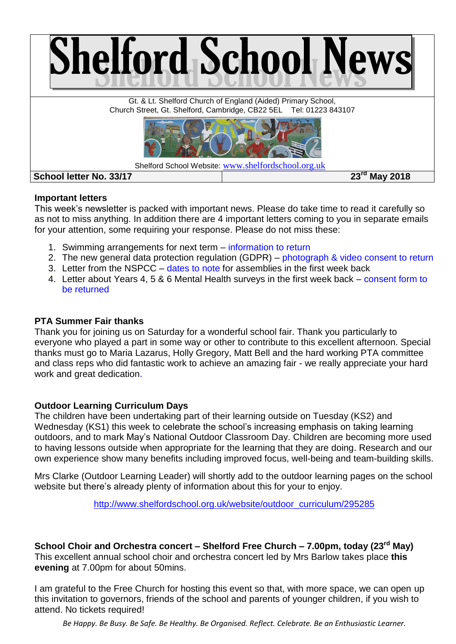

### **Important letters**

This week's newsletter is packed with important news. Please do take time to read it carefully so as not to miss anything. In addition there are 4 important letters coming to you in separate emails for your attention, some requiring your response. Please do not miss these:

- 1. Swimming arrangements for next term information to return
- 2. The new general data protection regulation (GDPR) photograph & video consent to return
- 3. Letter from the NSPCC dates to note for assemblies in the first week back
- 4. Letter about Years 4, 5 & 6 Mental Health surveys in the first week back consent form to be returned

## **PTA Summer Fair thanks**

Thank you for joining us on Saturday for a wonderful school fair. Thank you particularly to everyone who played a part in some way or other to contribute to this excellent afternoon. Special thanks must go to Maria Lazarus, Holly Gregory, Matt Bell and the hard working PTA committee and class reps who did fantastic work to achieve an amazing fair - we really appreciate your hard work and great dedication.

# **Outdoor Learning Curriculum Days**

The children have been undertaking part of their learning outside on Tuesday (KS2) and Wednesday (KS1) this week to celebrate the school's increasing emphasis on taking learning outdoors, and to mark May's National Outdoor Classroom Day. Children are becoming more used to having lessons outside when appropriate for the learning that they are doing. Research and our own experience show many benefits including improved focus, well-being and team-building skills.

Mrs Clarke (Outdoor Learning Leader) will shortly add to the outdoor learning pages on the school website but there's already plenty of information about this for your to enjoy.

[http://www.shelfordschool.org.uk/website/outdoor\\_curriculum/295285](http://www.shelfordschool.org.uk/website/outdoor_curriculum/295285)

# **School Choir and Orchestra concert – Shelford Free Church – 7.00pm, today (23rd May)**

This excellent annual school choir and orchestra concert led by Mrs Barlow takes place **this evening** at 7.00pm for about 50mins.

I am grateful to the Free Church for hosting this event so that, with more space, we can open up this invitation to governors, friends of the school and parents of younger children, if you wish to attend. No tickets required!

*Be Happy. Be Busy. Be Safe. Be Healthy. Be Organised. Reflect. Celebrate. Be an Enthusiastic Learner.*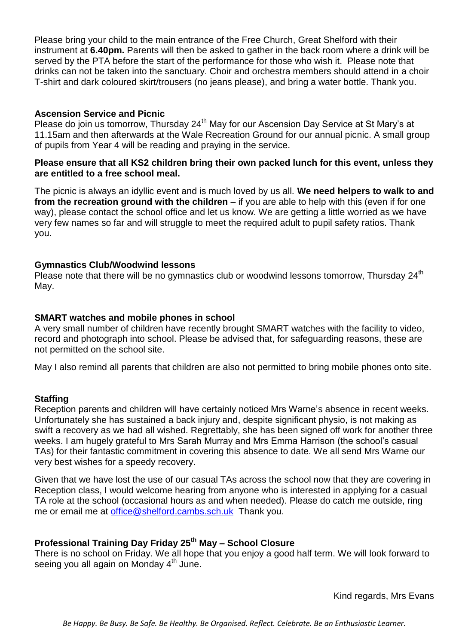Please bring your child to the main entrance of the Free Church, Great Shelford with their instrument at **6.40pm.** Parents will then be asked to gather in the back room where a drink will be served by the PTA before the start of the performance for those who wish it. Please note that drinks can not be taken into the sanctuary. Choir and orchestra members should attend in a choir T-shirt and dark coloured skirt/trousers (no jeans please), and bring a water bottle. Thank you.

### **Ascension Service and Picnic**

Please do join us tomorrow, Thursday 24<sup>th</sup> May for our Ascension Day Service at St Mary's at 11.15am and then afterwards at the Wale Recreation Ground for our annual picnic. A small group of pupils from Year 4 will be reading and praying in the service.

#### **Please ensure that all KS2 children bring their own packed lunch for this event, unless they are entitled to a free school meal.**

The picnic is always an idyllic event and is much loved by us all. **We need helpers to walk to and from the recreation ground with the children** – if you are able to help with this (even if for one way), please contact the school office and let us know. We are getting a little worried as we have very few names so far and will struggle to meet the required adult to pupil safety ratios. Thank you.

### **Gymnastics Club/Woodwind lessons**

Please note that there will be no gymnastics club or woodwind lessons tomorrow, Thursday  $24<sup>th</sup>$ May.

#### **SMART watches and mobile phones in school**

A very small number of children have recently brought SMART watches with the facility to video, record and photograph into school. Please be advised that, for safeguarding reasons, these are not permitted on the school site.

May I also remind all parents that children are also not permitted to bring mobile phones onto site.

### **Staffing**

Reception parents and children will have certainly noticed Mrs Warne's absence in recent weeks. Unfortunately she has sustained a back injury and, despite significant physio, is not making as swift a recovery as we had all wished. Regrettably, she has been signed off work for another three weeks. I am hugely grateful to Mrs Sarah Murray and Mrs Emma Harrison (the school's casual TAs) for their fantastic commitment in covering this absence to date. We all send Mrs Warne our very best wishes for a speedy recovery.

Given that we have lost the use of our casual TAs across the school now that they are covering in Reception class, I would welcome hearing from anyone who is interested in applying for a casual TA role at the school (occasional hours as and when needed). Please do catch me outside, ring me or email me at [office@shelford.cambs.sch.uk](mailto:office@shelford.cambs.sch.uk) Thank you.

## **Professional Training Day Friday 25th May – School Closure**

There is no school on Friday. We all hope that you enjoy a good half term. We will look forward to seeing you all again on Monday  $4<sup>th</sup>$  June.

Kind regards, Mrs Evans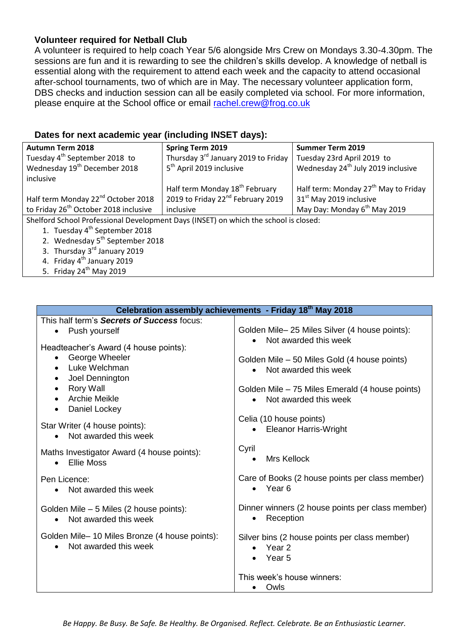## **Volunteer required for Netball Club**

A volunteer is required to help coach Year 5/6 alongside Mrs Crew on Mondays 3.30-4.30pm. The sessions are fun and it is rewarding to see the children's skills develop. A knowledge of netball is essential along with the requirement to attend each week and the capacity to attend occasional after-school tournaments, two of which are in May. The necessary volunteer application form, DBS checks and induction session can all be easily completed via school. For more information, please enquire at the School office or email [rachel.crew@frog.co.uk](mailto:rachel.crew@frog.co.uk)

## **Dates for next academic year (including INSET days):**

| <b>Autumn Term 2018</b>                                                              | <b>Spring Term 2019</b>                         | <b>Summer Term 2019</b>                          |  |
|--------------------------------------------------------------------------------------|-------------------------------------------------|--------------------------------------------------|--|
| Tuesday 4 <sup>th</sup> September 2018 to                                            | Thursday 3 <sup>rd</sup> January 2019 to Friday | Tuesday 23rd April 2019 to                       |  |
| Wednesday 19 <sup>th</sup> December 2018                                             | 5 <sup>th</sup> April 2019 inclusive            | Wednesday 24 <sup>th</sup> July 2019 inclusive   |  |
| inclusive                                                                            |                                                 |                                                  |  |
|                                                                                      | Half term Monday 18 <sup>th</sup> February      | Half term: Monday 27 <sup>th</sup> May to Friday |  |
| Half term Monday 22 <sup>nd</sup> October 2018                                       | 2019 to Friday 22 <sup>nd</sup> February 2019   | 31 <sup>st</sup> May 2019 inclusive              |  |
| to Friday 26 <sup>th</sup> October 2018 inclusive                                    | inclusive                                       | May Day: Monday 6 <sup>th</sup> May 2019         |  |
| Shelford School Professional Development Days (INSET) on which the school is closed: |                                                 |                                                  |  |
| 1. Tuesday 4 <sup>th</sup> September 2018                                            |                                                 |                                                  |  |
| 2. Wednesday 5 <sup>th</sup> September 2018                                          |                                                 |                                                  |  |
| 3. Thursday 3 <sup>rd</sup> January 2019                                             |                                                 |                                                  |  |
| 4. Friday 4 <sup>th</sup> January 2019                                               |                                                 |                                                  |  |
| 5. Friday $24th$ May 2019                                                            |                                                 |                                                  |  |

| Celebration assembly achievements - Friday 18th May 2018                                  |                                                                                           |  |
|-------------------------------------------------------------------------------------------|-------------------------------------------------------------------------------------------|--|
| This half term's Secrets of Success focus:                                                |                                                                                           |  |
| Push yourself<br>$\bullet$<br>Headteacher's Award (4 house points):                       | Golden Mile-25 Miles Silver (4 house points):<br>Not awarded this week<br>$\bullet$       |  |
| George Wheeler<br>$\bullet$<br>Luke Welchman<br>$\bullet$<br>Joel Dennington<br>$\bullet$ | Golden Mile – 50 Miles Gold (4 house points)<br>Not awarded this week                     |  |
| Rory Wall<br>$\bullet$<br><b>Archie Meikle</b><br>$\bullet$<br>Daniel Lockey              | Golden Mile – 75 Miles Emerald (4 house points)<br>Not awarded this week<br>$\bullet$     |  |
| Star Writer (4 house points):<br>Not awarded this week<br>$\bullet$                       | Celia (10 house points)<br><b>Eleanor Harris-Wright</b><br>$\bullet$                      |  |
| Maths Investigator Award (4 house points):<br><b>Ellie Moss</b><br>$\bullet$              | Cyril<br>Mrs Kellock                                                                      |  |
| Pen Licence:<br>Not awarded this week<br>$\bullet$                                        | Care of Books (2 house points per class member)<br>• Year 6                               |  |
| Golden Mile - 5 Miles (2 house points):<br>Not awarded this week<br>$\bullet$             | Dinner winners (2 house points per class member)<br>Reception<br>$\bullet$                |  |
| Golden Mile-10 Miles Bronze (4 house points):<br>Not awarded this week<br>$\bullet$       | Silver bins (2 house points per class member)<br>Year <sub>2</sub><br>$\bullet$<br>Year 5 |  |
|                                                                                           | This week's house winners:                                                                |  |
|                                                                                           | Owls                                                                                      |  |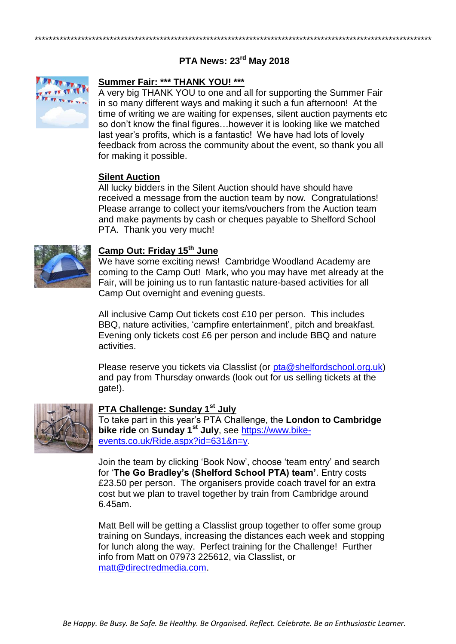# **PTA News: 23rd May 2018**

\*\*\*\*\*\*\*\*\*\*\*\*\*\*\*\*\*\*\*\*\*\*\*\*\*\*\*\*\*\*\*\*\*\*\*\*\*\*\*\*\*\*\*\*\*\*\*\*\*\*\*\*\*\*\*\*\*\*\*\*\*\*\*\*\*\*\*\*\*\*\*\*\*\*\*\*\*\*\*\*\*\*\*\*\*\*\*\*\*\*\*\*\*\*\*\*\*\*\*\*\*\*\*\*\*\*\*\*\*\*\*



#### **Summer Fair: \*\*\* THANK YOU! \*\*\***

A very big THANK YOU to one and all for supporting the Summer Fair in so many different ways and making it such a fun afternoon! At the time of writing we are waiting for expenses, silent auction payments etc so don't know the final figures…however it is looking like we matched last year's profits, which is a fantastic! We have had lots of lovely feedback from across the community about the event, so thank you all for making it possible.

#### **Silent Auction**

All lucky bidders in the Silent Auction should have should have received a message from the auction team by now. Congratulations! Please arrange to collect your items/vouchers from the Auction team and make payments by cash or cheques payable to Shelford School PTA. Thank you very much!



#### **Camp Out: Friday 15th June**

We have some exciting news! Cambridge Woodland Academy are coming to the Camp Out! Mark, who you may have met already at the Fair, will be joining us to run fantastic nature-based activities for all Camp Out overnight and evening guests.

All inclusive Camp Out tickets cost £10 per person. This includes BBQ, nature activities, 'campfire entertainment', pitch and breakfast. Evening only tickets cost £6 per person and include BBQ and nature activities.

Please reserve you tickets via Classlist (or [pta@shelfordschool.org.uk\)](mailto:pta@shelfordschool.org.uk) and pay from Thursday onwards (look out for us selling tickets at the gate!).



## **PTA Challenge: Sunday 1st July**

To take part in this year's PTA Challenge, the **London to Cambridge bike ride** on **Sunday 1st July**, see [https://www.bike](https://www.bike-events.co.uk/Ride.aspx?id=631&n=y)[events.co.uk/Ride.aspx?id=631&n=y.](https://www.bike-events.co.uk/Ride.aspx?id=631&n=y)

Join the team by clicking 'Book Now', choose 'team entry' and search for '**The Go Bradley's (Shelford School PTA) team'**. Entry costs £23.50 per person. The organisers provide coach travel for an extra cost but we plan to travel together by train from Cambridge around 6.45am.

Matt Bell will be getting a Classlist group together to offer some group training on Sundays, increasing the distances each week and stopping for lunch along the way. Perfect training for the Challenge! Further info from Matt on 07973 225612, via Classlist, or [matt@directredmedia.com.](mailto:matt@directredmedia.com)